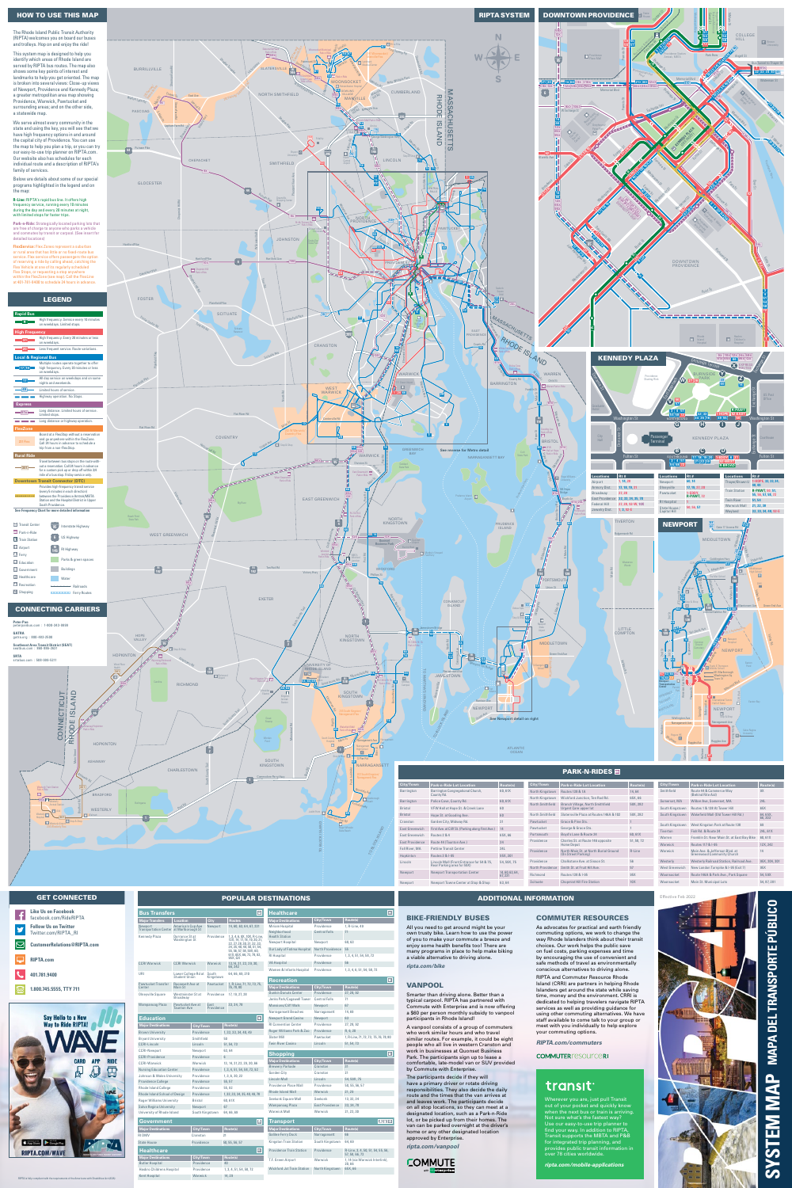| Example 1 Westerly Airport 1 Model and Duncher 1 Monday 1 Monday |  |    | Roger Wheeler<br>State Beach |
|------------------------------------------------------------------|--|----|------------------------------|
|                                                                  |  | m. |                              |
|                                                                  |  |    |                              |



identify which areas of Rhode Island are This system map is designed to help you served by RIPTA bus routes. The map also shows some key points of interest and a greater metropolitan area map showing Providence, Warwick, Pawtucket and surrounding areas; and on the other side, a statewide map.

**Major Destinations City/Town Route(s)** RI DMV Cranston State House **Providence** 

**Major Destinations City/Town Route(s)** Butler Hospital Providence Hasbro Childrens Hospital Providence Kent Hospital Warwick

**SYSTEM MAP MAPA DEL TRANSPORTE PÚBLICO** PÚBLICO **TRANSPORTE**  $\overline{B}$ **NAPA** a<br>C ፮ **MELS** မာ

## The Rhode Island Public Transit Authority (RIPTA) welcomes you on board our buses

| 面                       | <b>Transport</b>                  |                  |                                                     |
|-------------------------|-----------------------------------|------------------|-----------------------------------------------------|
| <b>Route(s)</b>         | <b>Major Destinations</b>         | <b>City/Town</b> | <b>Route(s)</b>                                     |
| 21                      | <b>Galilee Ferry Dock</b>         | Narragansett     | 66                                                  |
| 50, 55, 56, 57          | <b>Kingston Train Station</b>     | South Kingstown  | 64,69                                               |
| $\blacksquare$          | <b>Providence Train Station</b>   | Providence       | R-Line, 3, 4, 50, 51, 54, 55, 56,<br>57, 58, 66, 72 |
| <b>Route(s)</b>         | T.F. Green Airport                | Warwick          | 1, 14 (via Warwick Interlink),                      |
| 40                      |                                   |                  | 20,66                                               |
| 1, 3, 4, 51, 54, 58, 72 | <b>Wickford Jct Train Station</b> | North Kingstown  | 65X, 66                                             |
| 14 29                   |                                   |                  |                                                     |



| <b>Bus Transfers</b>                                                   |                                             |                  |                    | $\boxed{\blacksquare}$                                      | <b>Healthcare</b>                     |                        | $\overline{H}$                        |
|------------------------------------------------------------------------|---------------------------------------------|------------------|--------------------|-------------------------------------------------------------|---------------------------------------|------------------------|---------------------------------------|
| <b>Major Transfers</b>                                                 | Location                                    |                  | <b>City</b>        | <b>Routes</b>                                               | <b>Major Destinations</b>             | <b>City/Town</b>       | Route(s)                              |
| Newport                                                                | America's Cup Ave                           |                  | Newport            | 14, 60, 63, 64, 67, 231                                     | <b>Miriam Hospital</b>                | Providence             | 1, R-Line, 49                         |
| <b>Transportation Center at Marlborough St</b><br><b>Kennedy Plaza</b> | Dorrance St at                              |                  | Providence         | 1, 3, 4, 6, 9X, 10X, R-Line,                                | Neighborhood<br><b>Health Station</b> | <b>Central Falls</b>   | 71                                    |
|                                                                        | <b>Washington St</b>                        |                  |                    | 12X, 14, 17, 18, 19, 20, 21,<br>22, 27, 28, 30, 31, 32, 33, | Newport Hospital                      | Newport                | 60,63                                 |
|                                                                        |                                             |                  |                    | 34, 35, 40, 49, 50, 51, 54,<br>55, 56, 57, 58, 59X, 60,     | Our Lady of Fatima Hospital           | North Providence       | 55                                    |
|                                                                        |                                             |                  |                    | 61X, 65X, 66, 72, 78, 92,<br>95X, QX                        | <b>RI</b> Hospital                    | Providence             | 1, 3, 4, 51, 54, 58, 72               |
| <b>CCRI Warwick</b>                                                    | <b>CCRI Warwick</b>                         |                  | Warwick            | 13, 14, 21, 22, 29, 30,                                     | <b>VA Hospital</b>                    | Providence             | 56                                    |
|                                                                        |                                             |                  |                    | 66,242                                                      | Women & Infants Hospital              | Providence             | 1, 3, 4, 6, 51, 54, 58, 72            |
| URI                                                                    | Lower College Rd at<br><b>Student Union</b> |                  | South<br>Kingstown | 64, 66, 69, 210                                             | <b>Recreation</b>                     |                        | $\overline{\mathbf{r}}$               |
| <b>Pawtucket Transfer</b><br>Center                                    | Roosevelt Ave at<br>Main St                 |                  | Pawtucket          | 1, R-Line, 71, 72, 73, 75,<br>76, 78, 80                    | <b>Major Destinations</b>             | City/Town              | Route(s)                              |
| Olneyville Square                                                      | Westminster St at                           |                  | Providence         | 17, 19, 27, 28                                              | <b>Dunkin Donuts Center</b>           | Providence             | 27, 28, 92                            |
|                                                                        | Broadway                                    |                  |                    |                                                             | Jenks Park/Cogswell Tower             | <b>Central Falls</b>   | 71                                    |
| Wampanoag Plaza                                                        | Pawtucket Ave at                            |                  | East               | 33, 34, 78                                                  | <b>Mansions/Cliff Walk</b>            | Newport                | 67                                    |
|                                                                        | <b>Taunton Ave</b>                          |                  | Providence         |                                                             | Narragansett Beaches                  | Narragansett           | 14,69                                 |
| <b>Education</b>                                                       |                                             |                  |                    | $\boxed{\bullet}$                                           | <b>Newport Grand Casino</b>           | Newport                | 63                                    |
| <b>Major Destinations</b>                                              |                                             | <b>City/Town</b> |                    | Route(s)                                                    | <b>RI Convention Center</b>           | Providence             | 27, 28, 92                            |
| <b>Brown University</b>                                                |                                             | Providence       |                    | 1, 32, 33, 34, 40, 49                                       | Roger Williams Park & Zoo             | Providence             | R, 6, 20                              |
| <b>Bryant University</b>                                               |                                             | Smithfield       |                    | 50                                                          | Slater Mill                           | Pawtucket              | 1, R-Line, 71, 72, 73, 75, 76, 78, 80 |
| <b>CCRI-Lincoln</b>                                                    |                                             | Lincoln          |                    | 51, 54, 73                                                  | <b>Twin River Casino</b>              | Lincoln                | 51, 54, 73                            |
| <b>CCRI-Newport</b>                                                    |                                             | Newport          |                    | 63,64                                                       |                                       |                        |                                       |
| <b>CCRI-Providence</b>                                                 |                                             | Providence       |                    | $6\phantom{a}$                                              | <b>Shopping</b>                       |                        | $\boxed{\hat{\mathbf{u}}}$            |
| <b>CCRI-Warwick</b>                                                    |                                             | Warwick          |                    | 13, 14, 21, 22, 29, 30, 66                                  | <b>Major Destinations</b>             | <b>City/Town</b>       | <b>Route(s)</b>                       |
| <b>Nursing Education Center</b>                                        |                                             | Providence       |                    | 1, 3, 4, 51, 54, 58, 72, 92                                 | <b>Brewery Parkade</b>                | Cranston               | 31                                    |
| Johnson & Wales University                                             |                                             | Providence       |                    | 1, 3, 6, 20, 22                                             | <b>Garden City</b>                    | Cranston               | 21                                    |
| <b>Providence College</b>                                              |                                             | Providence       |                    | 55, 57                                                      | Lincoln Mall                          | Lincoln                | 54, 59X, 75                           |
| <b>Rhode Island College</b>                                            |                                             | Providence       |                    | 55,92                                                       | Providence Place Mall                 | Providence             | 50, 55, 56, 57                        |
| Rhode Island School of Design                                          |                                             | Providence       |                    | 1, 32, 33, 34, 35, 40, 49, 78                               | <b>Rhode Island Mall</b>              | Warwick                | 21, 29                                |
| <b>Roger Williams University</b>                                       |                                             | <b>Bristol</b>   |                    | 60,61X                                                      | Seekonk Square Mall                   | Seekonk                | 13, 32, 34                            |
| <b>Salve Regina University</b>                                         |                                             | Newport          |                    | 67                                                          | Wampanoag Plaza                       | <b>East Providence</b> | 33, 34, 78                            |
| University of Rhode Island                                             |                                             |                  | South Kingstown    | 64, 66, 69                                                  | <b>Warwick Mall</b>                   | Warwick                | 21, 22, 30                            |
| Government                                                             |                                             |                  |                    | 画                                                           | <b>Transport</b>                      |                        | LLE+                                  |

| East Greenwich         | First Ave. at Cliff St. (Parking along First Ave.) | 14                     | Pawtucket               | George & Grace Sts.                                    |                 |
|------------------------|----------------------------------------------------|------------------------|-------------------------|--------------------------------------------------------|-----------------|
| East Greenwich         | Routes 2 & 4                                       | 65X.66                 | Portsmouth              | Boyd's Lane & Route 24                                 | 60.             |
| <b>East Providence</b> | Route 44 (Taunton Ave.)                            | 34                     | Providence              | Charles St. at Route 146 opposite<br><b>Home Depot</b> | 51,             |
| <b>Fall River, MA</b>  | <b>Pettine Transit Center</b>                      | 24L                    | Providence              | North Main St. at North Burial Ground                  | $R-L$           |
| Hopkinton              | Routes 3 & 1-95                                    | 95X, 301               |                         | (On Street Parking)                                    |                 |
| Lincoln                | Lincoln Mall (Front Entrance for 54 & 75,          | 54, 59X, 75            | Providence              | Chalkstone Ave. at Sisson St.                          | 56              |
|                        | Rear Parking area for 59X)                         |                        | <b>North Providence</b> | Smith St. at Fruit Hill Ave.                           | 57              |
| Newport                | <b>Newport Transportation Center</b>               | 14,60,63,64,<br>67.231 | Richmond                | Routes 138 & I-95                                      | 95X             |
| Newport                | Newport Towne Center at Stop & Shop                | 63,64                  | <b>Scituate</b>         | <b>Chopmist Hill Fire Station</b>                      | 10 <sub>X</sub> |

51, 58, 72

R-Line

| South Kingstown | West Kingston Park at Route 138                                     | 69            |
|-----------------|---------------------------------------------------------------------|---------------|
| <b>Tiverton</b> | Fish Rd. & Route 24                                                 | 24L, 61X      |
| Warren          | Franklin St. Near Main St. at East Bay Bike                         | 60,61X        |
| Warwick         | Routes 117 & I-95                                                   | 12X, 242      |
| Warwick         | Main Ave. & Jefferson Blvd. at<br><b>Greenwood Community Church</b> | 14            |
| Westerly        | <b>Westerly Railroad Station, Railroad Ave.</b>                     | 95X, 204, 301 |
| West Greenwich  | New London Turnpike & I-95 (Exit 7)                                 | 95X           |
| Woonsocket      | Route 146A & Park Ave., Park Square                                 | 54,59X        |
| Woonsocket      | Main St. Municipal Lots                                             | 54, 87, 281   |
|                 |                                                                     |               |

**Healthcare**

RIPTA is fully compliant with the requirements of the Americans with Disabilities Act (ADA)

Effective Feb 2022

 $60, 61X$ 

#### GET CONNECTED

| Like Us on Facebook<br>facebook.com/RideRIPTA       |
|-----------------------------------------------------|
| <b>Follow Us on Twitter</b><br>Twitter.com/RIPTA RI |
| <b>CustomerRelations@RIPTA.com</b>                  |
| <b>RIPTA.com</b>                                    |
| 401.781.9400                                        |
|                                                     |

### BIKE-FRIENDLY BUSES

All you need to get around might be your own trusty bike. Learn how to use the power of you to make your commute a breeze and enjoy some health benefits too! There are many programs in place to help make biking a viable alternative to driving alone. *ripta.com/bike*

### VANPOOL

Smarter than driving alone. Better than a typical carpool. RIPTA has partnered with Commute with Enterprise and is now offering a \$60 per person monthly subsidy to vanpool participants in Rhode Island!

A vanpool consists of a group of commuters who work similar hours and who travel similar routes. For example, it could be eight people who all live in western Cranston and work in businesses at Quonset Business Park. The participants sign up to lease a comfortable, late-model van or SUV provided by Commute with Enterprise.

The participants decide if they will have a primary driver or rotate driving responsibilities. They also decide the daily route and the times that the van arrives at and leaves work. The participants decide on all stop locations, so they can meet at a designated location, such as a Park-n-Ride lot, or be picked up from their homes. The van can be parked overnight at the driver's home or any other designated location approved by Enterprise.

*ripta.com/vanpool*



#### COMMUTER RESOURCES As advocates for practical and earth friendly commuting options, we work to change the way Rhode Islanders think about their transit choices. Our work helps the public save

on fuel costs, parking expenses and time by encouraging the use of convenient and safe methods of travel as environmentally conscious alternatives to driving alone. RIPTA and Commuter Resource Rhode Island (CRRI) are partners in helping Rhode Islanders get around the state while saving time, money and the environment. CRRI is dedicated to helping travelers navigate RIPTA services as well as providing guidance for using other commuting alternatives. We have

staff available to come talk to your group or meet with you individually to help explore your commuting options.

*RIPTA.com/commuters*

### **COMMUTER** resource RI

# transit<sup>.</sup>

#### ADDITIONAL INFORMATION

Wherever you are, just pull Transit out of your pocket and quickly know when the next bus or train is arriving. Not sure what's the fastest way? Use our easy-to-use trip planner to find your way. In addition to RIPTA, Transit supports the MBTA and P&B for integrated trip planning, and provides public transit information in over 78 cities worldwide.

*ripta.com/mobile-applications*

|  | <b>POPULAR DESTINATIONS</b> |
|--|-----------------------------|
|  |                             |

**1.800.745.5555, TTY 711**